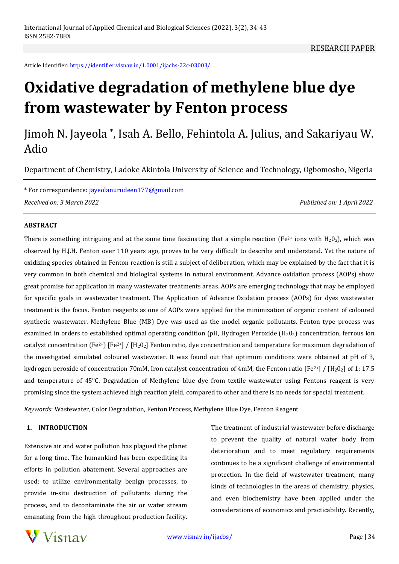RESEARCH PAPER

Article Identifier: https://identifier.visnav.in/1.0001/ijacbs-22c-03003/

# **Oxidative degradation of methylene blue dye from wastewater by Fenton process**

# Jimoh N. Jayeola \* , Isah A. Bello, Fehintola A. Julius, and Sakariyau W. Adio

Department of Chemistry, Ladoke Akintola University of Science and Technology, Ogbomosho, Nigeria

\* For correspondence: jayeolanurudeen177@gmail.com *Received on: 3 March 2022 Published on: 1 April 2022*

#### **ABSTRACT**

There is something intriguing and at the same time fascinating that a simple reaction (Fe<sup>2+</sup> ions with H<sub>2</sub>O<sub>2</sub>), which was observed by H.J.H. Fenton over 110 years ago, proves to be very difficult to describe and understand. Yet the nature of oxidizing species obtained in Fenton reaction is still a subject of deliberation, which may be explained by the fact that it is very common in both chemical and biological systems in natural environment. Advance oxidation process (AOPs) show great promise for application in many wastewater treatments areas. AOPs are emerging technology that may be employed for specific goals in wastewater treatment. The Application of Advance Oxidation process (AOPs) for dyes wastewater treatment is the focus. Fenton reagents as one of AOPs were applied for the minimization of organic content of coloured synthetic wastewater. Methylene Blue (MB) Dye was used as the model organic pollutants. Fenton type process was examined in orders to established optimal operating condition (pH, Hydrogen Peroxide  $(H_2O_2)$  concentration, ferrous ion catalyst concentration (Fe<sup>2+</sup>) [Fe<sup>2+</sup>] / [H<sub>2</sub>O<sub>2</sub>] Fenton ratio, dye concentration and temperature for maximum degradation of the investigated simulated coloured wastewater. It was found out that optimum conditions were obtained at pH of 3, hydrogen peroxide of concentration 70mM, Iron catalyst concentration of 4mM, the Fenton ratio  $[Fe^{2+}] / [H_2O_2]$  of 1: 17.5 and temperature of 45°C. Degradation of Methylene blue dye from textile wastewater using Fentons reagent is very promising since the system achieved high reaction yield, compared to other and there is no needs for special treatment.

*Keywords*: Wastewater, Color Degradation, Fenton Process, Methylene Blue Dye, Fenton Reagent

#### **1. INTRODUCTION**

Extensive air and water pollution has plagued the planet for a long time. The humankind has been expediting its efforts in pollution abatement. Several approaches are used: to utilize environmentally benign processes, to provide in-situ destruction of pollutants during the process, and to decontaminate the air or water stream emanating from the high throughout production facility. The treatment of industrial wastewater before discharge to prevent the quality of natural water body from deterioration and to meet regulatory requirements continues to be a significant challenge of environmental protection. In the field of wastewater treatment, many kinds of technologies in the areas of chemistry, physics, and even biochemistry have been applied under the considerations of economics and practicability. Recently,

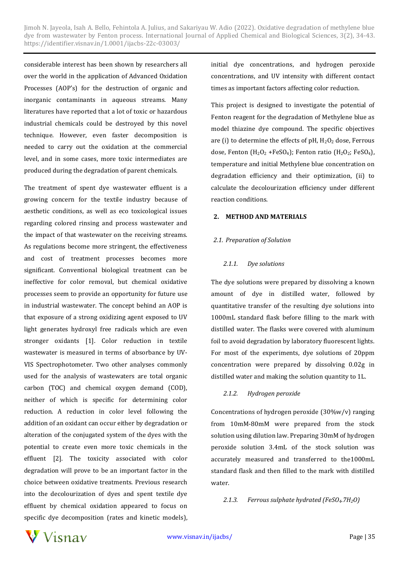considerable interest has been shown by researchers all over the world in the application of Advanced Oxidation Processes (AOP's) for the destruction of organic and inorganic contaminants in aqueous streams. Many literatures have reported that a lot of toxic or hazardous industrial chemicals could be destroyed by this novel technique. However, even faster decomposition is needed to carry out the oxidation at the commercial level, and in some cases, more toxic intermediates are produced during the degradation of parent chemicals.

The treatment of spent dye wastewater effluent is a growing concern for the textile industry because of aesthetic conditions, as well as eco toxicological issues regarding colored rinsing and process wastewater and the impact of that wastewater on the receiving streams. As regulations become more stringent, the effectiveness and cost of treatment processes becomes more significant. Conventional biological treatment can be ineffective for color removal, but chemical oxidative processes seem to provide an opportunity for future use in industrial wastewater. The concept behind an AOP is that exposure of a strong oxidizing agent exposed to UV light generates hydroxyl free radicals which are even stronger oxidants [1]. Color reduction in textile wastewater is measured in terms of absorbance by UV-VIS Spectrophotometer. Two other analyses commonly used for the analysis of wastewaters are total organic carbon (TOC) and chemical oxygen demand (COD), neither of which is specific for determining color reduction. A reduction in color level following the addition of an oxidant can occur either by degradation or alteration of the conjugated system of the dyes with the potential to create even more toxic chemicals in the effluent [2]. The toxicity associated with color degradation will prove to be an important factor in the choice between oxidative treatments. Previous research into the decolourization of dyes and spent textile dye effluent by chemical oxidation appeared to focus on specific dye decomposition (rates and kinetic models),

initial dye concentrations, and hydrogen peroxide concentrations, and UV intensity with different contact times as important factors affecting color reduction.

This project is designed to investigate the potential of Fenton reagent for the degradation of Methylene blue as model thiazine dye compound. The specific objectives are (i) to determine the effects of  $pH$ ,  $H_2O_2$  dose, Ferrous dose, Fenton ( $H_2O_2$  +FeSO<sub>4</sub>); Fenton ratio ( $H_2O_2$ ; FeSO<sub>4</sub>), temperature and initial Methylene blue concentration on degradation efficiency and their optimization, (ii) to calculate the decolourization efficiency under different reaction conditions.

#### **2. METHOD AND MATERIALS**

#### *2.1. Preparation of Solution*

#### *2.1.1. Dye solutions*

The dye solutions were prepared by dissolving a known amount of dye in distilled water, followed by quantitative transfer of the resulting dye solutions into 1000mL standard flask before filling to the mark with distilled water. The flasks were covered with aluminum foil to avoid degradation by laboratory fluorescent lights. For most of the experiments, dye solutions of 20ppm concentration were prepared by dissolving 0.02g in distilled water and making the solution quantity to 1L.

# *2.1.2. Hydrogen peroxide*

Concentrations of hydrogen peroxide (30%w/v) ranging from 10mM-80mM were prepared from the stock solution using dilution law. Preparing 30mM of hydrogen peroxide solution 3.4mL of the stock solution was accurately measured and transferred to the1000mL standard flask and then filled to the mark with distilled water.

#### *2.1.3. Ferrous sulphate hydrated (FeSO4.7H2O)*

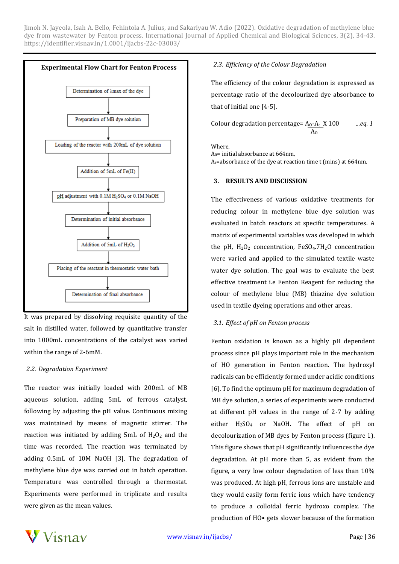

It was prepared by dissolving requisite quantity of the salt in distilled water, followed by quantitative transfer into 1000mL concentrations of the catalyst was varied within the range of 2-6mM.

#### *2.2. Degradation Experiment*

The reactor was initially loaded with 200mL of MB aqueous solution, adding 5mL of ferrous catalyst, following by adjusting the pH value. Continuous mixing was maintained by means of magnetic stirrer. The reaction was initiated by adding  $5mL$  of  $H_2O_2$  and the time was recorded. The reaction was terminated by adding 0.5mL of 10M NaOH [3]. The degradation of methylene blue dye was carried out in batch operation. Temperature was controlled through a thermostat. Experiments were performed in triplicate and results were given as the mean values.

# *2.3. Efficiency of the Colour Degradation*

The efficiency of the colour degradation is expressed as percentage ratio of the decolourized dye absorbance to that of initial one [4-5].

Column degradation percentage = 
$$
A_0 - A_t
$$
 X 100

\n $A_0$ 

\n...

eq. 1

**Where** 

A0= initial absorbance at 664nm,

At=absorbance of the dye at reaction time t (mins) at 664nm.

#### **3. RESULTS AND DISCUSSION**

The effectiveness of various oxidative treatments for reducing colour in methylene blue dye solution was evaluated in batch reactors at specific temperatures. A matrix of experimental variables was developed in which the pH,  $H_2O_2$  concentration, FeSO<sub>4</sub>.7H<sub>2</sub>O concentration were varied and applied to the simulated textile waste water dye solution. The goal was to evaluate the best effective treatment i.e Fenton Reagent for reducing the colour of methylene blue (MB) thiazine dye solution used in textile dyeing operations and other areas.

# *3.1. Effect of pH on Fenton process*

Fenton oxidation is known as a highly pH dependent process since pH plays important role in the mechanism of HO generation in Fenton reaction. The hydroxyl radicals can be efficiently formed under acidic conditions [6]. To find the optimum pH for maximum degradation of MB dye solution, a series of experiments were conducted at different pH values in the range of 2-7 by adding either H<sub>2</sub>SO<sub>4</sub> or NaOH. The effect of pH on decolourization of MB dyes by Fenton process (figure 1). This figure shows that pH significantly influences the dye degradation. At pH more than 5, as evident from the figure, a very low colour degradation of less than 10% was produced. At high pH, ferrous ions are unstable and they would easily form ferric ions which have tendency to produce a colloidal ferric hydroxo complex. The production of HO• gets slower because of the formation

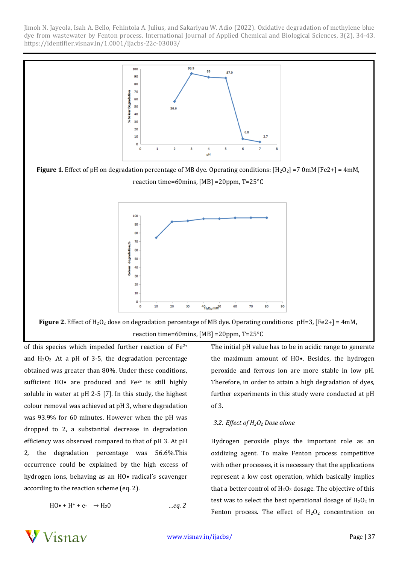

of this species which impeded further reaction of Fe2+ and  $H_2O_2$  . At a pH of 3-5, the degradation percentage obtained was greater than 80%. Under these conditions, sufficient HO $\bullet$  are produced and Fe<sup>2+</sup> is still highly soluble in water at pH 2-5 [7]. In this study, the highest colour removal was achieved at pH 3, where degradation was 93.9% for 60 minutes. However when the pH was dropped to 2, a substantial decrease in degradation efficiency was observed compared to that of pH 3. At pH 2, the degradation percentage was 56.6%.This occurrence could be explained by the high excess of hydrogen ions, behaving as an HO• radical's scavenger according to the reaction scheme (eq. 2).

$$
HO\bullet + H^+ + e^- \rightarrow H_2O \qquad \qquad \dots eq. 2
$$

The initial pH value has to be in acidic range to generate the maximum amount of HO•. Besides, the hydrogen peroxide and ferrous ion are more stable in low pH. Therefore, in order to attain a high degradation of dyes, further experiments in this study were conducted at pH of 3.

# *3.2. Effect of H2O<sup>2</sup> Dose alone*

Hydrogen peroxide plays the important role as an oxidizing agent. To make Fenton process competitive with other processes, it is necessary that the applications represent a low cost operation, which basically implies that a better control of  $H_2O_2$  dosage. The objective of this test was to select the best operational dosage of  $H_2O_2$  in Fenton process. The effect of  $H_2O_2$  concentration on

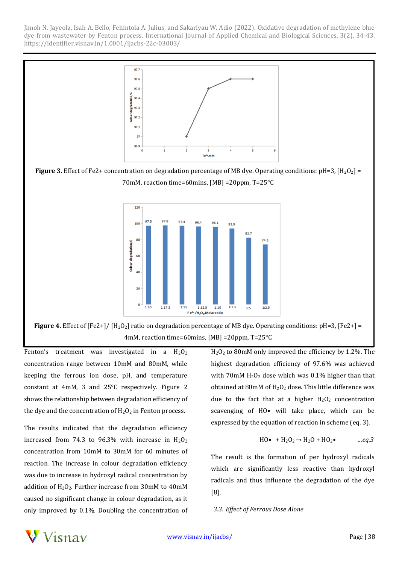

**Figure 4.** Effect of [Fe2+]/ [H<sub>2</sub>O<sub>2</sub>] ratio on degradation percentage of MB dye. Operating conditions: pH=3, [Fe2+] = 4mM, reaction time=60mins, [MB] =20ppm, T=25°C

Fenton's treatment was investigated in a  $H_2O_2$ concentration range between 10mM and 80mM, while keeping the ferrous ion dose, pH, and temperature constant at 4mM, 3 and 25°C respectively. Figure 2 shows the relationship between degradation efficiency of the dye and the concentration of  $H_2O_2$  in Fenton process.

The results indicated that the degradation efficiency increased from 74.3 to 96.3% with increase in  $H_2O_2$ concentration from 10mM to 30mM for 60 minutes of reaction. The increase in colour degradation efficiency was due to increase in hydroxyl radical concentration by addition of  $H_2O_2$ . Further increase from 30mM to 40mM caused no significant change in colour degradation, as it only improved by 0.1%. Doubling the concentration of H2O<sup>2</sup> to 80mM only improved the efficiency by 1.2%. The highest degradation efficiency of 97.6% was achieved with 70mM  $H_2O_2$  dose which was 0.1% higher than that obtained at  $80$ mM of  $H_2O_2$  dose. This little difference was due to the fact that at a higher  $H_2O_2$  concentration scavenging of HO• will take place, which can be expressed by the equation of reaction in scheme (eq. 3).

$$
HO\bullet + H_2O_2 \rightarrow H_2O + HO_2\bullet \qquad \dots eq.3
$$

The result is the formation of per hydroxyl radicals which are significantly less reactive than hydroxyl radicals and thus influence the degradation of the dye [8].

#### *3.3. Effect of Ferrous Dose Alone*

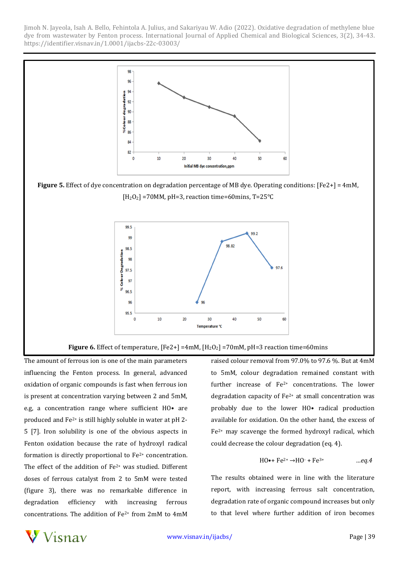

The amount of ferrous ion is one of the main parameters influencing the Fenton process. In general, advanced oxidation of organic compounds is fast when ferrous ion is present at concentration varying between 2 and 5mM, e.g, a concentration range where sufficient HO• are produced and Fe2+ is still highly soluble in water at pH 2- 5 [7]. Iron solubility is one of the obvious aspects in Fenton oxidation because the rate of hydroxyl radical formation is directly proportional to Fe2+ concentration. The effect of the addition of Fe<sup>2+</sup> was studied. Different doses of ferrous catalyst from 2 to 5mM were tested (figure 3), there was no remarkable difference in degradation efficiency with increasing ferrous concentrations. The addition of Fe2+ from 2mM to 4mM

raised colour removal from 97.0% to 97.6 %. But at 4mM to 5mM, colour degradation remained constant with further increase of  $Fe^{2+}$  concentrations. The lower degradation capacity of  $Fe<sup>2+</sup>$  at small concentration was probably due to the lower HO• radical production available for oxidation. On the other hand, the excess of  $Fe<sup>2+</sup>$  may scavenge the formed hydroxyl radical, which could decrease the colour degradation (eq. 4).

$$
HO\bullet + Fe^{2+} \rightarrow HO\cdot + Fe^{3+} \qquad \dots eq.4
$$

The results obtained were in line with the literature report, with increasing ferrous salt concentration, degradation rate of organic compound increases but only to that level where further addition of iron becomes

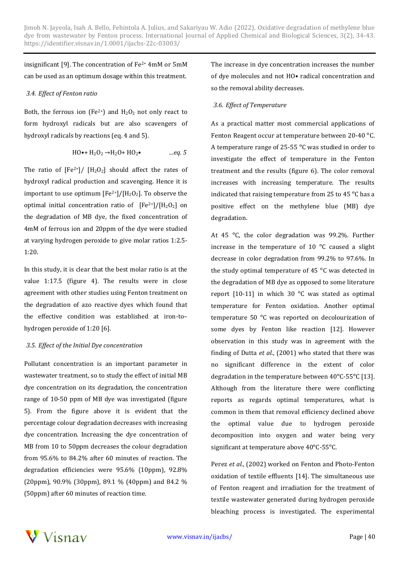insignificant [9]. The concentration of  $Fe<sup>2+</sup> 4mM$  or  $5mM$ can be used as an optimum dosage within this treatment.

#### *3.4. Effect of Fenton ratio*

Both, the ferrous ion (Fe<sup>2+</sup>) and  $H_2O_2$  not only react to form hydroxyl radicals but are also scavengers of hydroxyl radicals by reactions (eq. 4 and 5).

$$
HO\bullet + H_2O_2 \rightarrow H_2O + HO_2\bullet \qquad \qquad \dots eq. 5
$$

The ratio of  $[Fe^{2+}]/ [H_2O_2]$  should affect the rates of hydroxyl radical production and scavenging. Hence it is important to use optimum  $[Fe^{2+}]/[H_2O_2]$ . To observe the optimal initial concentration ratio of  $[Fe^{2+}]/[H_2O_2]$  on the degradation of MB dye, the fixed concentration of 4mM of ferrous ion and 20ppm of the dye were studied at varying hydrogen peroxide to give molar ratios 1:2.5- 1:20.

In this study, it is clear that the best molar ratio is at the value 1:17.5 (figure 4). The results were in close agreement with other studies using Fenton treatment on the degradation of azo reactive dyes which found that the effective condition was established at iron-to– hydrogen peroxide of 1:20 [6].

# *3.5. Effect of the Initial Dye concentration*

Pollutant concentration is an important parameter in wastewater treatment, so to study the effect of initial MB dye concentration on its degradation, the concentration range of 10-50 ppm of MB dye was investigated (figure 5). From the figure above it is evident that the percentage colour degradation decreases with increasing dye concentration. Increasing the dye concentration of MB from 10 to 50ppm decreases the colour degradation from 95.6% to 84.2% after 60 minutes of reaction. The degradation efficiencies were 95.6% (10ppm), 92.8% (20ppm), 90.9% (30ppm), 89.1 % (40ppm) and 84.2 % (50ppm) after 60 minutes of reaction time.

The increase in dye concentration increases the number of dye molecules and not HO• radical concentration and so the removal ability decreases.

# *3.6. Effect of Temperature*

As a practical matter most commercial applications of Fenton Reagent occur at temperature between 20-40 °C. A temperature range of 25-55  $\degree$ C was studied in order to investigate the effect of temperature in the Fenton treatment and the results (figure 6). The color removal increases with increasing temperature. The results indicated that raising temperature from 25 to 45 $\degree$ C has a positive effect on the methylene blue (MB) dye degradation.

At 45 $\degree$ C, the color degradation was 99.2%. Further increase in the temperature of  $10^{\circ}$ C caused a slight decrease in color degradation from 99.2% to 97.6%. In the study optimal temperature of 45 $\degree$ C was detected in the degradation of MB dye as opposed to some literature report  $[10-11]$  in which 30  $^{\circ}$ C was stated as optimal temperature for Fenton oxidation. Another optimal temperature 50 °C was reported on decolourization of some dyes by Fenton like reaction [12]. However observation in this study was in agreement with the finding of Dutta *et al*., (2001) who stated that there was no significant difference in the extent of color degradation in the temperature between  $40^{\circ}$ C-55 $^{\circ}$ C [13]. Although from the literature there were conflicting reports as regards optimal temperatures, what is common in them that removal efficiency declined above the optimal value due to hydrogen peroxide decomposition into oxygen and water being very significant at temperature above  $40^{\circ}$ C-55<sup>°</sup>C.

Perez *et al*., (2002) worked on Fenton and Photo-Fenton oxidation of textile effluents [14]. The simultaneous use of Fenton reagent and irradiation for the treatment of textile wastewater generated during hydrogen peroxide bleaching process is investigated. The experimental

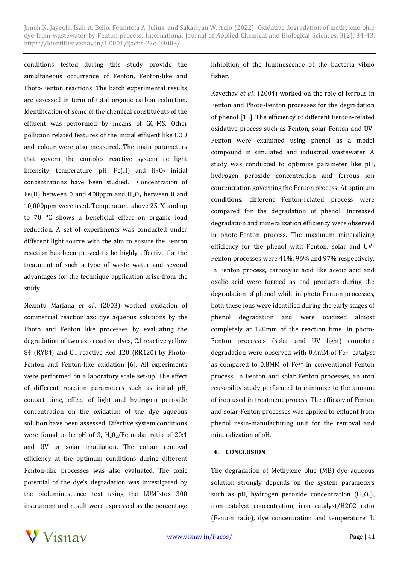conditions tested during this study provide the simultaneous occurrence of Fenton, Fenton-like and Photo-Fenton reactions. The batch experimental results are assessed in term of total organic carbon reduction. Identification of some of the chemical constituents of the effluent was performed by means of GC-MS. Other pollution related features of the initial effluent like COD and colour were also measured. The main parameters that govern the complex reactive system i.e light intensity, temperature, pH, Fe(II) and  $H_2O_2$  initial concentrations have been studied. Concentration of Fe(II) between 0 and 400ppm and  $H_2O_2$  between 0 and 10,000ppm were used. Temperature above 25  $^{\circ}$ C and up to 70 °C shows a beneficial effect on organic load reduction. A set of experiments was conducted under different light source with the aim to ensure the Fenton reaction has been proved to be highly effective for the treatment of such a type of waste water and several advantages for the technique application arise-from the study.

Neamtu Mariana *et al.,* (2003) worked oxidation of commercial reaction azo dye aqueous solutions by the Photo and Fenton like processes by evaluating the degradation of two azo reactive dyes, C.I reactive yellow 84 (RY84) and C.I reactive Red 120 (RR120) by Photo-Fenton and Fenton-like oxidation [6]. All experiments were performed on a laboratory scale set-up. The effect of different reaction parameters such as initial pH, contact time, effect of light and hydrogen peroxide concentration on the oxidation of the dye aqueous solution have been assessed. Effective system conditions were found to be pH of 3,  $H_2O_2$ /Fe molar ratio of 20:1 and UV or solar irradiation. The colour removal efficiency at the optimum conditions during different Fenton-like processes was also evaluated. The toxic potential of the dye's degradation was investigated by the bioluminescence text using the LUMIstox 300 instrument and result were expressed as the percentage

inhibition of the luminescence of the bacteria vibno fisher.

Kavethav *et al.,* (2004) worked on the role of ferrous in Fenton and Photo-Fenton processes for the degradation of phenol [15]. The efficiency of different Fenton-related oxidative process such as Fenton, solar-Fenton and UV-Fenton were examined using phenol as a model compound in simulated and industrial wastewater. A study was conducted to optimize parameter like pH, hydrogen peroxide concentration and ferrous ion concentration governing the Fenton process. At optimum conditions, different Fenton-related process were compared for the degradation of phenol. Increased degradation and mineralization efficiency were observed in photo-Fenton process. The maximum mineralizing efficiency for the phenol with Fenton, solar and UV-Fenton processes were 41%, 96% and 97% respectively. In Fenton process, carboxylic acid like acetic acid and oxalic acid were formed as end products during the degradation of phenol while in photo-Fenton processes, both these ions were identified during the early stages of phenol degradation and were oxidized almost completely at 120mm of the reaction time. In photo-Fenton processes (solar and UV light) complete degradation were observed with  $0.4$ mM of Fe<sup>2+</sup> catalyst as compared to 0.8MM of Fe2+ in conventional Fenton process. In Fenton and solar Fenton processes, an iron reusability study performed to minimize to the amount of iron used in treatment process. The efficacy of Fenton and solar-Fenton processes was applied to effluent from phenol resin-manufacturing unit for the removal and mineralization of pH.

#### **4. CONCLUSION**

The degradation of Methylene blue (MB) dye aqueous solution strongly depends on the system parameters such as pH, hydrogen peroxide concentration  $(H_2O_2)$ , iron catalyst concentration, iron catalyst/H2O2 ratio (Fenton ratio), dye concentration and temperature. It

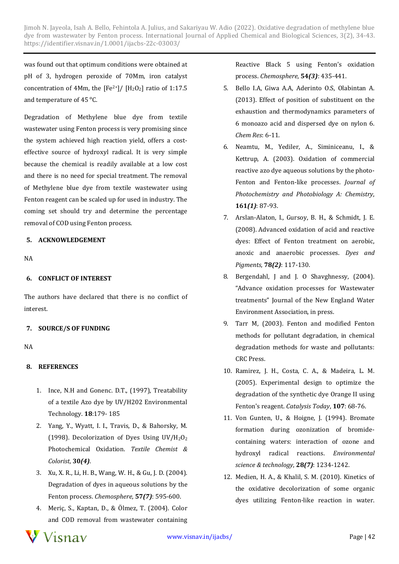was found out that optimum conditions were obtained at pH of 3, hydrogen peroxide of 70Mm, iron catalyst concentration of 4Mm, the  $[Fe^{2+}]/ [H_2O_2]$  ratio of 1:17.5 and temperature of 45 °C.

Degradation of Methylene blue dye from textile wastewater using Fenton process is very promising since the system achieved high reaction yield, offers a costeffective source of hydroxyl radical. It is very simple because the chemical is readily available at a low cost and there is no need for special treatment. The removal of Methylene blue dye from textile wastewater using Fenton reagent can be scaled up for used in industry. The coming set should try and determine the percentage removal of COD using Fenton process.

#### **5. ACKNOWLEDGEMENT**

NA

#### **6. CONFLICT OF INTEREST**

The authors have declared that there is no conflict of interest.

# **7. SOURCE/S OF FUNDING**

NA

# **8. REFERENCES**

- 1. Ince, N.H and Gonenc. D.T., (1997), Treatability of a textile Azo dye by UV/H202 Environmental Technology. **18**:179- 185
- 2. Yang, Y., Wyatt, I. I., Travis, D., & Bahorsky, M. (1998). Decolorization of Dyes Using  $UV/H<sub>2</sub>O<sub>2</sub>$ Photochemical Oxidation. *Textile Chemist & Colorist*, **30***(4)*.
- 3. Xu, X. R., Li, H. B., Wang, W. H., & Gu, J. D. (2004). Degradation of dyes in aqueous solutions by the Fenton process. *Chemosphere*, **57***(7)*: 595-600.
- 4. Meriç, S., Kaptan, D., & Ölmez, T. (2004). Color and COD removal from wastewater containing



- 5. Bello I.A, Giwa A.A, Aderinto O.S, Olabintan A. (2013). Effect of position of substituent on the exhaustion and thermodynamics parameters of 6 monoazo acid and dispersed dye on nylon 6. *Chem Res*: 6-11.
- 6. Neamtu, M., Yediler, A., Siminiceanu, I., & Kettrup, A. (2003). Oxidation of commercial reactive azo dye aqueous solutions by the photo-Fenton and Fenton-like processes. *Journal of Photochemistry and Photobiology A: Chemistry*, **161***(1)*: 87-93.
- 7. Arslan-Alaton, I., Gursoy, B. H., & Schmidt, J. E. (2008). Advanced oxidation of acid and reactive dyes: Effect of Fenton treatment on aerobic, anoxic and anaerobic processes. *Dyes and Pigments*, **78***(2)*: 117-130.
- 8. Bergendahl, J and J. O Shavghnessy, (2004). "Advance oxidation processes for Wastewater treatments" Journal of the New England Water Environment Association, in press.
- 9. Tarr M, (2003). Fenton and modified Fenton methods for pollutant degradation, in chemical degradation methods for waste and pollutants: CRC Press.
- 10. Ramirez, J. H., Costa, C. A., & Madeira, L. M. (2005). Experimental design to optimize the degradation of the synthetic dye Orange II using Fenton's reagent. *Catalysis Today*, **107**: 68-76.
- 11. Von Gunten, U., & Hoigne, J. (1994). Bromate formation during ozonization of bromidecontaining waters: interaction of ozone and hydroxyl radical reactions. *Environmental science & technology*, **28***(7)*: 1234-1242.
- 12. Medien, H. A., & Khalil, S. M. (2010). Kinetics of the oxidative decolorization of some organic dyes utilizing Fenton-like reaction in water.